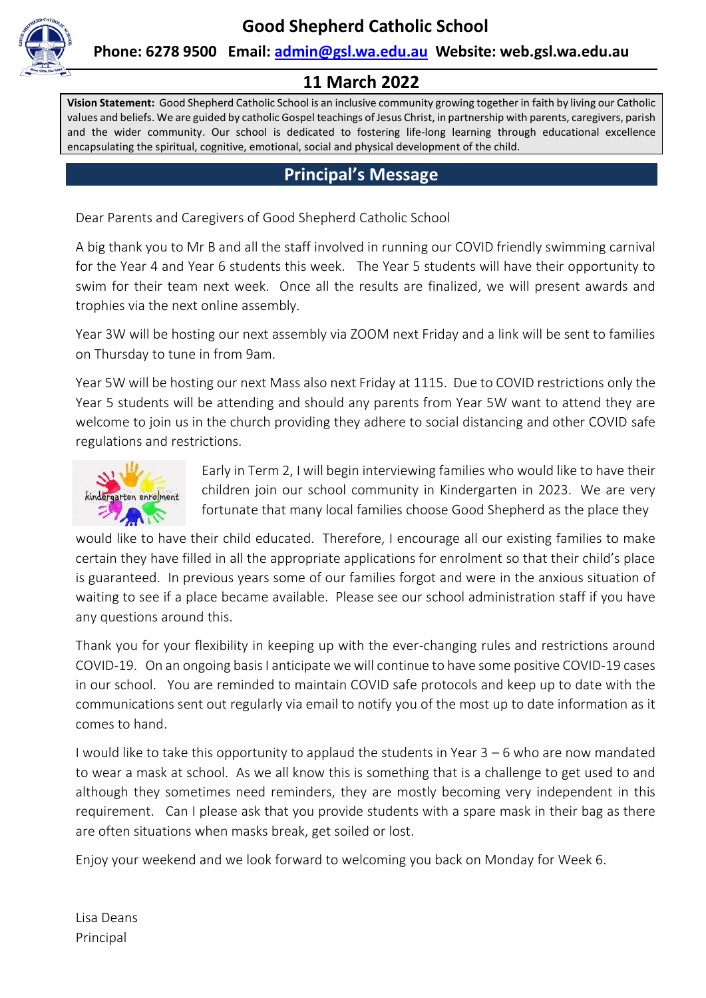

### **Phone: 6278 9500 Email: [admin@gsl.wa.edu.au](mailto:admin@gsl.wa.edu.au) Website: web.gsl.wa.edu.au**

### **11 March 2022**

**Vision Statement:** Good Shepherd Catholic School is an inclusive community growing together in faith by living our Catholic values and beliefs. We are guided by catholic Gospel teachings of Jesus Christ, in partnership with parents, caregivers, parish and the wider community. Our school is dedicated to fostering life-long learning through educational excellence encapsulating the spiritual, cognitive, emotional, social and physical development of the child.

### **Principal's Message**

Dear Parents and Caregivers of Good Shepherd Catholic School

A big thank you to Mr B and all the staff involved in running our COVID friendly swimming carnival for the Year 4 and Year 6 students this week. The Year 5 students will have their opportunity to swim for their team next week. Once all the results are finalized, we will present awards and trophies via the next online assembly.

Year 3W will be hosting our next assembly via ZOOM next Friday and a link will be sent to families on Thursday to tune in from 9am.

Year 5W will be hosting our next Mass also next Friday at 1115. Due to COVID restrictions only the Year 5 students will be attending and should any parents from Year 5W want to attend they are welcome to join us in the church providing they adhere to social distancing and other COVID safe regulations and restrictions.



Early in Term 2, I will begin interviewing families who would like to have their children join our school community in Kindergarten in 2023. We are very fortunate that many local families choose Good Shepherd as the place they

would like to have their child educated. Therefore, I encourage all our existing families to make certain they have filled in all the appropriate applications for enrolment so that their child's place is guaranteed. In previous years some of our families forgot and were in the anxious situation of waiting to see if a place became available. Please see our school administration staff if you have any questions around this.

Thank you for your flexibility in keeping up with the ever-changing rules and restrictions around COVID-19. On an ongoing basis I anticipate we will continue to have some positive COVID-19 cases in our school. You are reminded to maintain COVID safe protocols and keep up to date with the communications sent out regularly via email to notify you of the most up to date information as it comes to hand.

I would like to take this opportunity to applaud the students in Year 3 – 6 who are now mandated to wear a mask at school. As we all know this is something that is a challenge to get used to and although they sometimes need reminders, they are mostly becoming very independent in this requirement. Can I please ask that you provide students with a spare mask in their bag as there are often situations when masks break, get soiled or lost.

Enjoy your weekend and we look forward to welcoming you back on Monday for Week 6.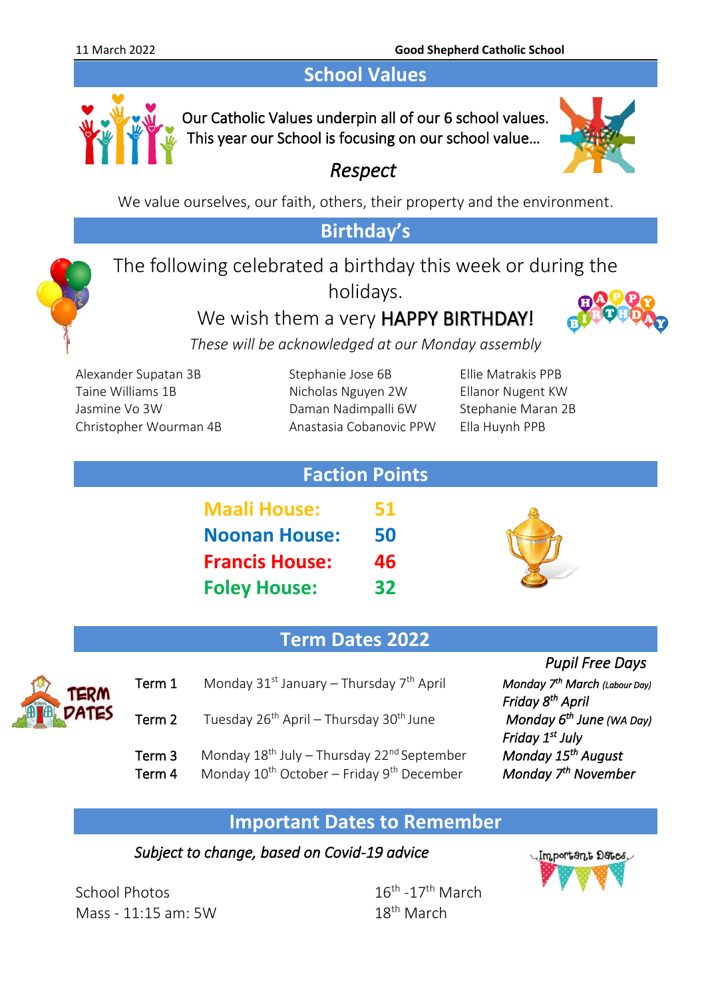## **School Values**



Our Catholic Values underpin all of our 6 school values. This year our School is focusing on our school value…



*Respect* 

We value ourselves, our faith, others, their property and the environment.

## **Birthday's**

The following celebrated a birthday this week or during the holidays.

We wish them a very **HAPPY BIRTHDAY!** 



*These will be acknowledged at our Monday assembly*

Alexander Supatan 3B Stephanie Jose 6B Ellie Matrakis PPB Taine Williams 1B Nicholas Nguyen 2W Ellanor Nugent KW Jasmine Vo 3W Daman Nadimpalli 6W Stephanie Maran 2B Christopher Wourman 4B Anastasia Cobanovic PPW Ella Huynh PPB

| <b>Faction Points</b> |    |
|-----------------------|----|
| <b>Maali House:</b>   | 51 |
| <b>Noonan House:</b>  | 50 |
| <b>Francis House:</b> | 46 |
| <b>Foley House:</b>   | 32 |



## **Term Dates 2022**

- - Term 1 Monday 31<sup>st</sup> January Thursday 7<sup>th</sup> April *PRIM*<br> **APPLE** 
		- Term 2 Tuesday 26<sup>th</sup> April Thursday 30<sup>th</sup> June
		- Term 3 Monday 18<sup>th</sup> July Thursday 22<sup>nd</sup> September
		- Term 4 Monday 10<sup>th</sup> October Friday 9<sup>th</sup> December

*Pupil Free Days* 

 *March (Labour Day) Monday*  $6^{th}$  June (WA Day)  *Friday 1st July August Monday* 7<sup>th</sup> November

### **Important Dates to Remember**

### *Subject to change, based on Covid-19 advice*

School Photos 16th Mass -  $11:15$  am:  $5W$ 

 $16^{\text{th}}$  -17<sup>th</sup> March

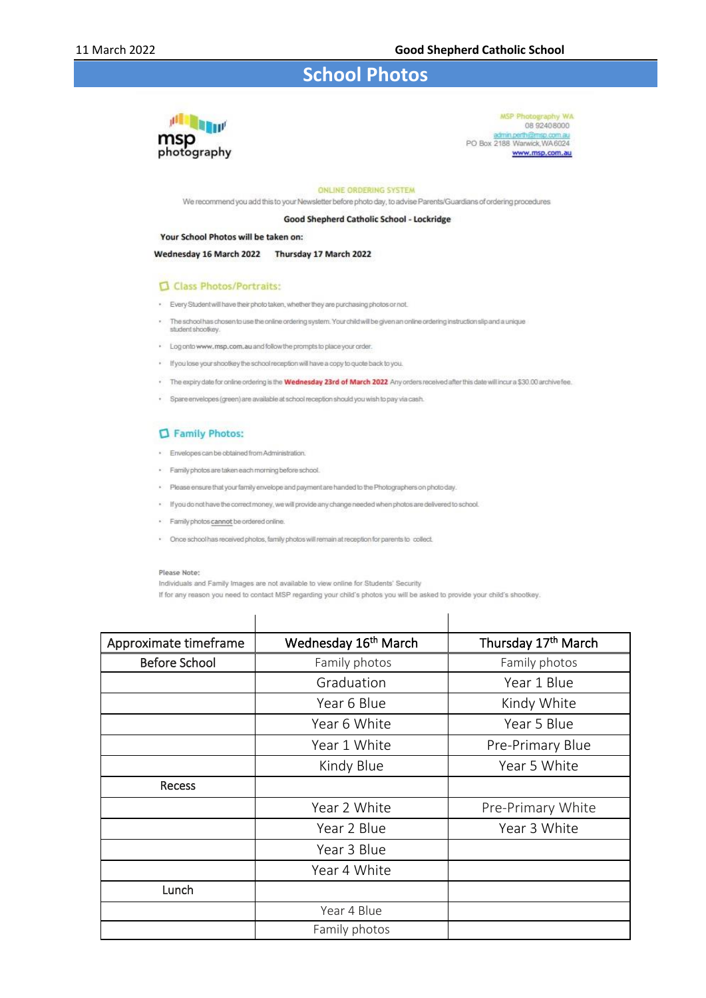### **School Photos**



MSP Photography WA 08 9240 8000 admin.perth@msp.com.au<br>PO Box 2188 Warwick, WA6024 www.msp.com.au

#### ONLINE ORDERING SYSTEM

We recommend you add this to your Newsletter before photo day, to advise Parents/Guardians of ordering procedures

#### Good Shepherd Catholic School - Lockridge

#### Your School Photos will be taken on:

Wednesday 16 March 2022 Thursday 17 March 2022

#### Class Photos/Portraits:

- . Every Student will have their photo taken, whether they are purchasing photos or not.
- . The school has chosen to use the online ordering system. Your child will be given an online ordering instruction slip and a unique student shootkey.
- . Log onto www.msp.com.au and follow the prompts to place your order.
- . If you lose your shootkey the school reception will have a copy to quote back to you.
- . The expiry date for online ordering is the **Wednesday 23rd of March 2022** Any orders received after this date will incur a \$30.00 archive fee.
- · Spare envelopes (green) are available at school reception should you wish to pay via cash.

#### Family Photos:

- · Envelopes can be obtained from Administration.
- · Family photos are taken each morning before school.
- . Please ensure that your family envelope and payment are handed to the Photographers on photo day.
- . If you do not have the correct money, we will provide any change needed when photos are delivered to school.
- · Family photos cannot be ordered online.
- . Once school has received photos, family photos will remain at reception for parents to collect.

#### Please Note:

Individuals and Family Images are not available to view online for Students' Security

 $\mathbf{I}$ 

If for any reason you need to contact MSP regarding your child's photos you will be asked to provide your child's shootkey.

 $\mathbf{I}$ 

| Approximate timeframe | Wednesday 16 <sup>th</sup> March | Thursday 17th March |
|-----------------------|----------------------------------|---------------------|
| <b>Before School</b>  | Family photos                    | Family photos       |
|                       | Graduation                       | Year 1 Blue         |
|                       | Year 6 Blue                      | Kindy White         |
|                       | Year 6 White                     | Year 5 Blue         |
|                       | Year 1 White                     | Pre-Primary Blue    |
|                       | Kindy Blue                       | Year 5 White        |
| Recess                |                                  |                     |
|                       | Year 2 White                     | Pre-Primary White   |
|                       | Year 2 Blue                      | Year 3 White        |
|                       | Year 3 Blue                      |                     |
|                       | Year 4 White                     |                     |
| Lunch                 |                                  |                     |
|                       | Year 4 Blue                      |                     |
|                       | Family photos                    |                     |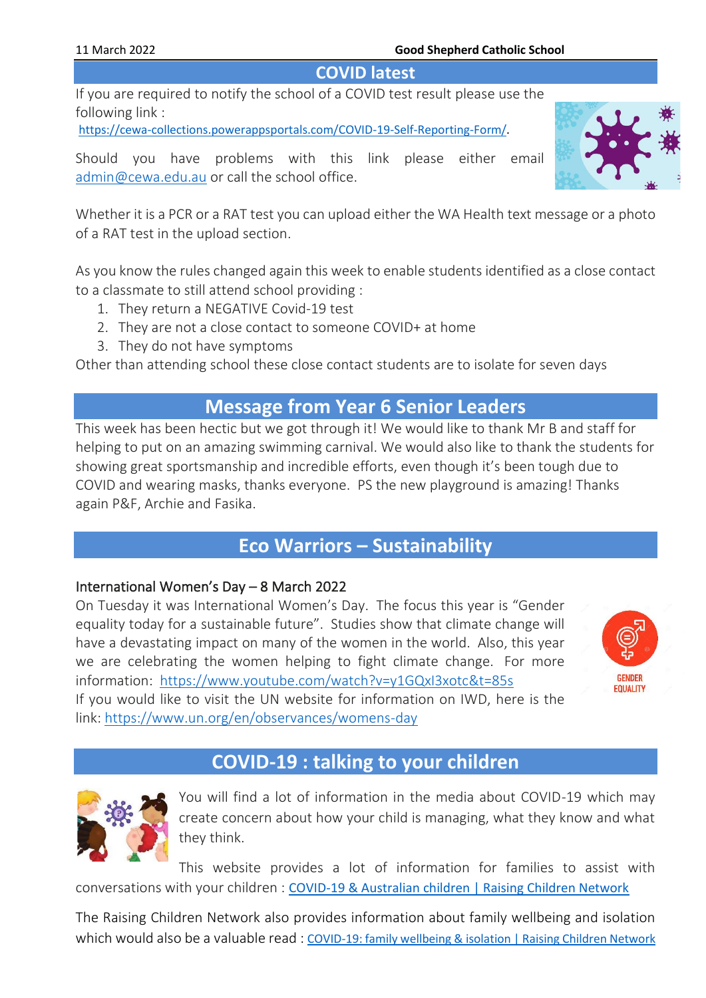#### 11 March 2022 **Good Shepherd Catholic School**

### **COVID latest**

If you are required to notify the school of a COVID test result please use the following link :

[https://cewa-collections.powerappsportals.com/COVID-19-Self-Reporting-Form/.](https://cewa-collections.powerappsportals.com/COVID-19-Self-Reporting-Form/)

Should you have problems with this link please either email [admin@cewa.edu.au](mailto:admin@cewa.edu.au) or call the school office.

Whether it is a PCR or a RAT test you can upload either the WA Health text message or a photo of a RAT test in the upload section.

As you know the rules changed again this week to enable students identified as a close contact to a classmate to still attend school providing :

- 1. They return a NEGATIVE Covid-19 test
- 2. They are not a close contact to someone COVID+ at home
- 3. They do not have symptoms

Other than attending school these close contact students are to isolate for seven days

## **Message from Year 6 Senior Leaders**

This week has been hectic but we got through it! We would like to thank Mr B and staff for helping to put on an amazing swimming carnival. We would also like to thank the students for showing great sportsmanship and incredible efforts, even though it's been tough due to COVID and wearing masks, thanks everyone. PS the new playground is amazing! Thanks again P&F, Archie and Fasika.

# **Eco Warriors – Sustainability**

#### International Women's Day – 8 March 2022

On Tuesday it was International Women's Day. The focus this year is "Gender equality today for a sustainable future". Studies show that climate change will have a devastating impact on many of the women in the world. Also, this year we are celebrating the women helping to fight climate change. For more information: <https://www.youtube.com/watch?v=y1GQxI3xotc&t=85s>



If you would like to visit the UN website for information on IWD, here is the link: <https://www.un.org/en/observances/womens-day>

## **COVID-19 : talking to your children**



You will find a lot of information in the media about COVID-19 which may create concern about how your child is managing, what they know and what they think.

This website provides a lot of information for families to assist with conversations with your children : [COVID-19 & Australian children | Raising Children Network](https://raisingchildren.net.au/guides/a-z-health-reference/coronavirus-and-children-in-australia#talking-with-children-about-covid-19-nav-title)

The Raising Children Network also provides information about family wellbeing and isolation which would also be a valuable read : [COVID-19: family wellbeing & isolation | Raising Children Network](https://raisingchildren.net.au/guides/coronavirus-covid-19-guide/lockdown-family-wellbeing)

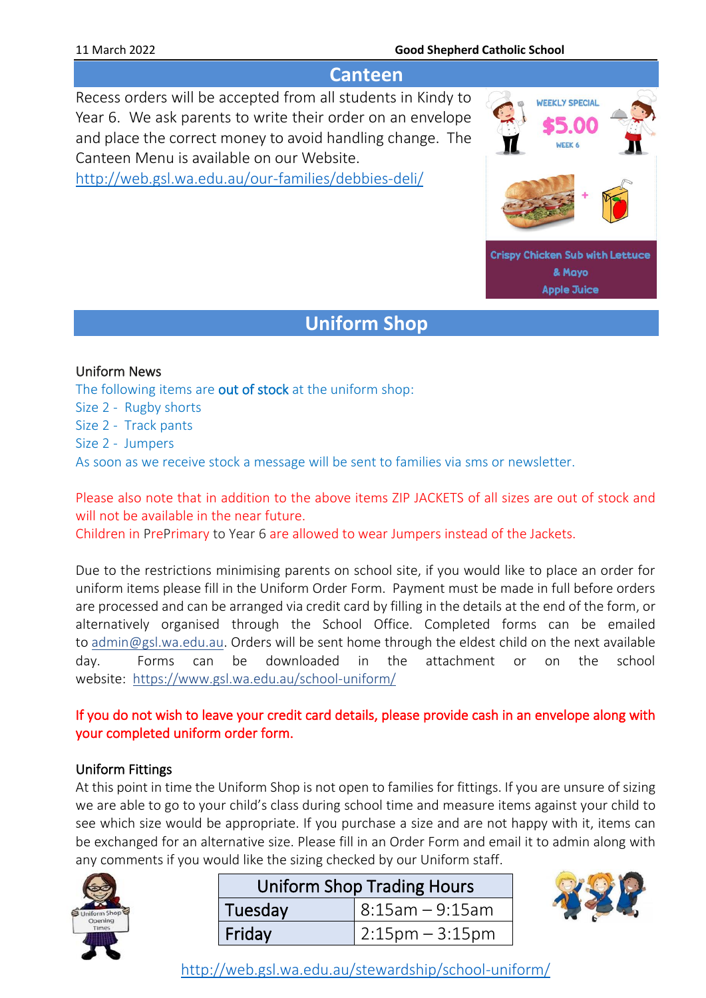#### 11 March 2022 **Good Shepherd Catholic School**

### **Canteen**

Recess orders will be accepted from all students in Kindy to Year 6. We ask parents to write their order on an envelope and place the correct money to avoid handling change. The Canteen Menu is available on our Website.

<http://web.gsl.wa.edu.au/our-families/debbies-deli/>



**Apple Juice** 

## **Uniform Shop**

#### Uniform News

The following items are out of stock at the uniform shop: Size 2 - Rugby shorts Size 2 - Track pants Size 2 - Jumpers As soon as we receive stock a message will be sent to families via sms or newsletter.

Please also note that in addition to the above items ZIP JACKETS of all sizes are out of stock and will not be available in the near future.

Children in PrePrimary to Year 6 are allowed to wear Jumpers instead of the Jackets.

Due to the restrictions minimising parents on school site, if you would like to place an order for uniform items please fill in the Uniform Order Form. Payment must be made in full before orders are processed and can be arranged via credit card by filling in the details at the end of the form, or alternatively organised through the School Office. Completed forms can be emailed to [admin@gsl.wa.edu.au.](mailto:admin@gsl.wa.edu.au) Orders will be sent home through the eldest child on the next available day. Forms can be downloaded in the attachment or on the school website: <https://www.gsl.wa.edu.au/school-uniform/>

### If you do not wish to leave your credit card details, please provide cash in an envelope along with your completed uniform order form.

#### Uniform Fittings

At this point in time the Uniform Shop is not open to families for fittings. If you are unsure of sizing we are able to go to your child's class during school time and measure items against your child to see which size would be appropriate. If you purchase a size and are not happy with it, items can be exchanged for an alternative size. Please fill in an Order Form and email it to admin along with any comments if you would like the sizing checked by our Uniform staff.



| <b>Uniform Shop Trading Hours</b> |                      |  |
|-----------------------------------|----------------------|--|
| Tuesday                           | $  8:15$ am - 9:15am |  |
| Friday                            | $2:15$ pm – 3:15pm   |  |



<http://web.gsl.wa.edu.au/stewardship/school-uniform/>